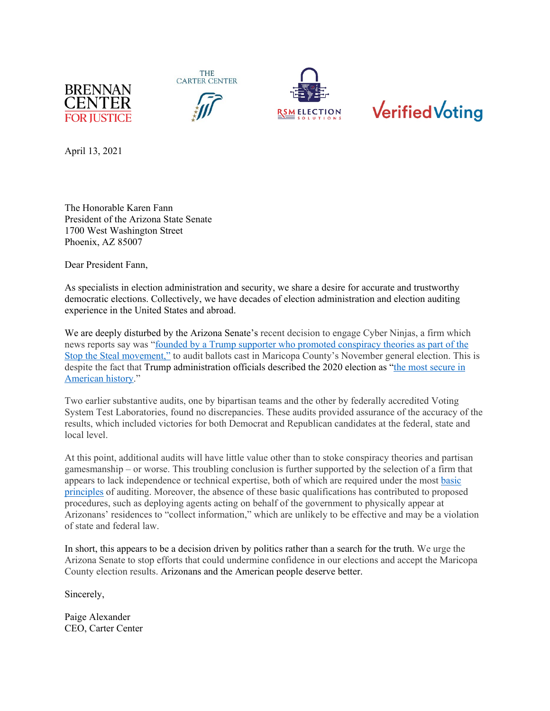







April 13, 2021

The Honorable Karen Fann President of the Arizona State Senate 1700 West Washington Street Phoenix, AZ 85007

Dear President Fann,

As specialists in election administration and security, we share a desire for accurate and trustworthy democratic elections. Collectively, we have decades of election administration and election auditing experience in the United States and abroad.

We are deeply disturbed by the Arizona Senate's recent decision to engage Cyber Ninjas, a firm which news reports say was ["founded by a Trump supporter who promoted conspiracy theories as part of the](https://nam04.safelinks.protection.outlook.com/?url=https%3A%2F%2Fwww.azcentral.com%2Fstory%2Fopinion%2Fop-ed%2Flaurieroberts%2F2021%2F03%2F31%2Farizona-senate-hired-cyber-ninjas-conduct-its-election-audit%2F4828177001%2F&data=04%7C01%7Cavery.davis-roberts%40cartercenter.org%7C9c583761fed2480ce4ac08d8f7e0a51f%7C16decddb28ac4bea8fc95844aadea669%7C0%7C0%7C637531891521816275%7CUnknown%7CTWFpbGZsb3d8eyJWIjoiMC4wLjAwMDAiLCJQIjoiV2luMzIiLCJBTiI6Ik1haWwiLCJXVCI6Mn0%3D%7C1000&sdata=R%2FCake97aW8WbzZfDRdYqgbyTyBfYZEoWwuzli0NXyw%3D&reserved=0)  [Stop the Steal movement,"](https://nam04.safelinks.protection.outlook.com/?url=https%3A%2F%2Fwww.azcentral.com%2Fstory%2Fopinion%2Fop-ed%2Flaurieroberts%2F2021%2F03%2F31%2Farizona-senate-hired-cyber-ninjas-conduct-its-election-audit%2F4828177001%2F&data=04%7C01%7Cavery.davis-roberts%40cartercenter.org%7C9c583761fed2480ce4ac08d8f7e0a51f%7C16decddb28ac4bea8fc95844aadea669%7C0%7C0%7C637531891521816275%7CUnknown%7CTWFpbGZsb3d8eyJWIjoiMC4wLjAwMDAiLCJQIjoiV2luMzIiLCJBTiI6Ik1haWwiLCJXVCI6Mn0%3D%7C1000&sdata=R%2FCake97aW8WbzZfDRdYqgbyTyBfYZEoWwuzli0NXyw%3D&reserved=0) to audit ballots cast in Maricopa County's November general election. This is despite the fact that Trump administration officials described the 2020 election as ["the most secure in](https://nam04.safelinks.protection.outlook.com/?url=https%3A%2F%2Fwww.cisa.gov%2Fnews%2F2020%2F11%2F12%2Fjoint-statement-elections-infrastructure-government-coordinating-council-election&data=04%7C01%7Cavery.davis-roberts%40cartercenter.org%7C9c583761fed2480ce4ac08d8f7e0a51f%7C16decddb28ac4bea8fc95844aadea669%7C0%7C0%7C637531891521826277%7CUnknown%7CTWFpbGZsb3d8eyJWIjoiMC4wLjAwMDAiLCJQIjoiV2luMzIiLCJBTiI6Ik1haWwiLCJXVCI6Mn0%3D%7C1000&sdata=r5AFd4jF%2FemeCFudxWTFlGyIBQPl5mfaH0%2BGshmrspw%3D&reserved=0)  [American](https://nam04.safelinks.protection.outlook.com/?url=https%3A%2F%2Fwww.cisa.gov%2Fnews%2F2020%2F11%2F12%2Fjoint-statement-elections-infrastructure-government-coordinating-council-election&data=04%7C01%7Cavery.davis-roberts%40cartercenter.org%7C9c583761fed2480ce4ac08d8f7e0a51f%7C16decddb28ac4bea8fc95844aadea669%7C0%7C0%7C637531891521826277%7CUnknown%7CTWFpbGZsb3d8eyJWIjoiMC4wLjAwMDAiLCJQIjoiV2luMzIiLCJBTiI6Ik1haWwiLCJXVCI6Mn0%3D%7C1000&sdata=r5AFd4jF%2FemeCFudxWTFlGyIBQPl5mfaH0%2BGshmrspw%3D&reserved=0) history."

Two earlier substantive audits, one by bipartisan teams and the other by federally accredited Voting System Test Laboratories, found no discrepancies. These audits provided assurance of the accuracy of the results, which included victories for both Democrat and Republican candidates at the federal, state and local level.

At this point, additional audits will have little value other than to stoke conspiracy theories and partisan gamesmanship – or worse. This troubling conclusion is further supported by the selection of a firm that appears to lack independence or technical expertise, both of which are required under the most [basic](https://www.gao.gov/assets/gao-18-568g.pdf)  [principles](https://www.gao.gov/assets/gao-18-568g.pdf) of auditing. Moreover, the absence of these basic qualifications has contributed to proposed procedures, such as deploying agents acting on behalf of the government to physically appear at Arizonans' residences to "collect information," which are unlikely to be effective and may be a violation of state and federal law.

In short, this appears to be a decision driven by politics rather than a search for the truth. We urge the Arizona Senate to stop efforts that could undermine confidence in our elections and accept the Maricopa County election results. Arizonans and the American people deserve better.

Sincerely,

Paige Alexander CEO, Carter Center